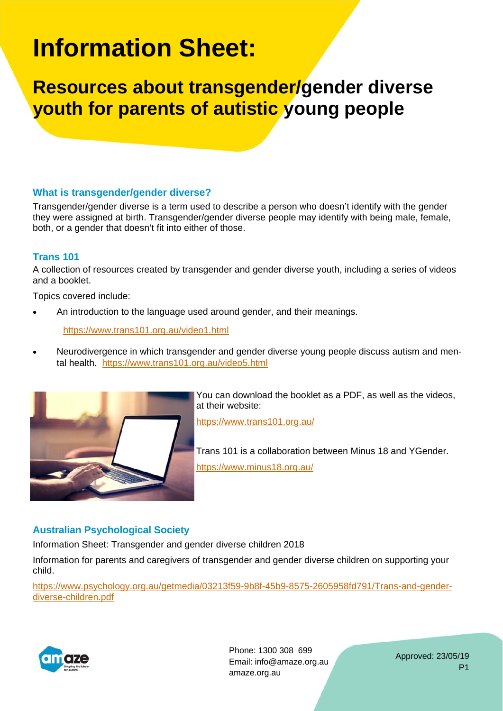# **Information Sheet:**

**Resources about transgender/gender diverse youth for parents of autistic young people** 

### **What is transgender/gender diverse?**

Transgender/gender diverse is a term used to describe a person who doesn't identify with the gender they were assigned at birth. Transgender/gender diverse people may identify with being male, female, both, or a gender that doesn't fit into either of those.

#### **Trans 101**

A collection of resources created by transgender and gender diverse youth, including a series of videos and a booklet.

Topics covered include:

An introduction to the language used around gender, and their meanings.

#### https://www.trans101.org.au/video1.html

 Neurodivergence in which transgender and gender diverse young people discuss autism and mental health. https://www.trans101.org.au/video5.html



You can download the booklet as a PDF, as well as the videos, at their website:

https://www.trans101.org.au/

Trans 101 is a collaboration between Minus 18 and YGender. https://www.minus18.org.au/

## **Australian Psychological Society**

Information Sheet: Transgender and gender diverse children 2018

Information for parents and caregivers of transgender and gender diverse children on supporting your child.

https://www.psychology.org.au/getmedia/03213f59-9b8f-45b9-8575-2605958fd791/Trans-and-genderdiverse-children.pdf



Phone: 1300 308 699 Email: info@amaze.org.au amaze.org.au

Approved: 23/05/19 P1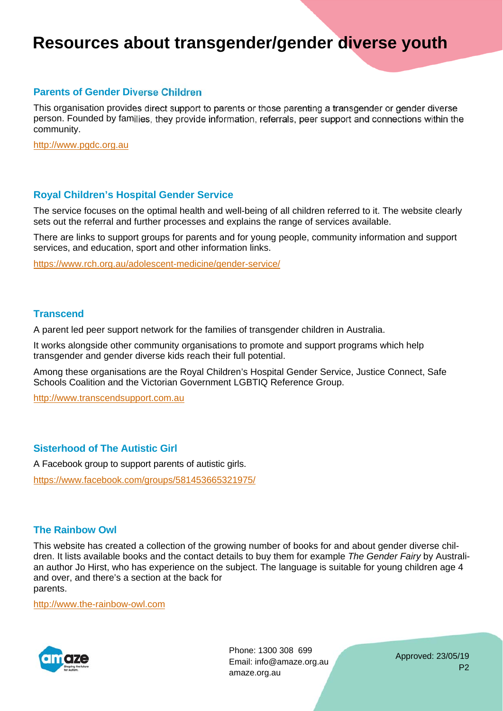# **Resources about transgender/gender diverse youth**

#### **Parents of Gender Diverse Children**

This organisation provides direct support to parents or those parenting a transgender or gender diverse person. Founded by families, they provide information, referrals, peer support and connections within the community.

http://www.pgdc.org.au

#### **Royal Children's Hospital Gender Service**

The service focuses on the optimal health and well-being of all children referred to it. The website clearly sets out the referral and further processes and explains the range of services available.

There are links to support groups for parents and for young people, community information and support services, and education, sport and other information links.

https://www.rch.org.au/adolescent-medicine/gender-service/

#### **Transcend**

A parent led peer support network for the families of transgender children in Australia.

It works alongside other community organisations to promote and support programs which help transgender and gender diverse kids reach their full potential.

Among these organisations are the Royal Children's Hospital Gender Service, Justice Connect, Safe Schools Coalition and the Victorian Government LGBTIQ Reference Group.

http://www.transcendsupport.com.au

#### **Sisterhood of The Autistic Girl**

A Facebook group to support parents of autistic girls.

https://www.facebook.com/groups/581453665321975/

#### **The Rainbow Owl**

This website has created a collection of the growing number of books for and about gender diverse children. It lists available books and the contact details to buy them for example *The Gender Fairy* by Australian author Jo Hirst, who has experience on the subject. The language is suitable for young children age 4 and over, and there's a section at the back for parents.

http://www.the-rainbow-owl.com



Phone: 1300 308 699 Email: info@amaze.org.au amaze.org.au

Approved: 23/05/19 P2